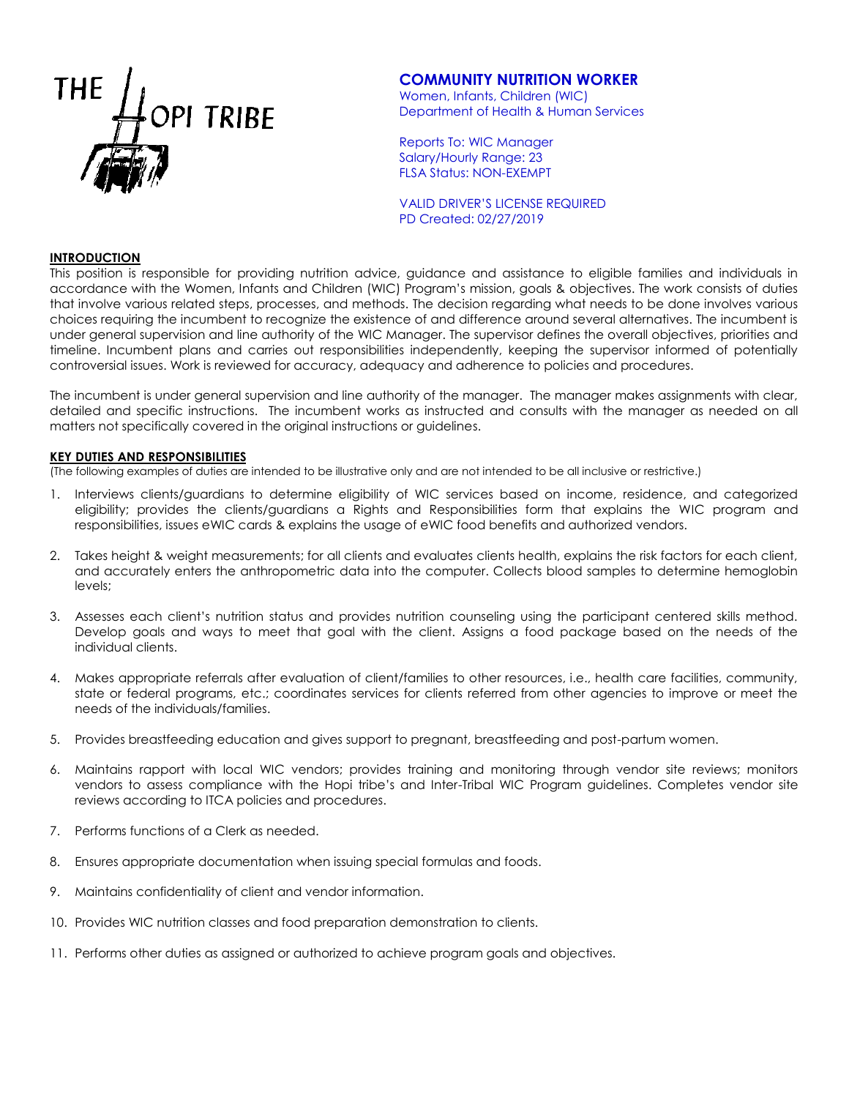

# **COMMUNITY NUTRITION WORKER**

Women, Infants, Children (WIC) Department of Health & Human Services

Reports To: WIC Manager Salary/Hourly Range: 23 FLSA Status: NON-EXEMPT

VALID DRIVER'S LICENSE REQUIRED PD Created: 02/27/2019

## **INTRODUCTION**

This position is responsible for providing nutrition advice, guidance and assistance to eligible families and individuals in accordance with the Women, Infants and Children (WIC) Program's mission, goals & objectives. The work consists of duties that involve various related steps, processes, and methods. The decision regarding what needs to be done involves various choices requiring the incumbent to recognize the existence of and difference around several alternatives. The incumbent is under general supervision and line authority of the WIC Manager. The supervisor defines the overall objectives, priorities and timeline. Incumbent plans and carries out responsibilities independently, keeping the supervisor informed of potentially controversial issues. Work is reviewed for accuracy, adequacy and adherence to policies and procedures.

The incumbent is under general supervision and line authority of the manager. The manager makes assignments with clear, detailed and specific instructions. The incumbent works as instructed and consults with the manager as needed on all matters not specifically covered in the original instructions or guidelines.

#### **KEY DUTIES AND RESPONSIBILITIES**

(The following examples of duties are intended to be illustrative only and are not intended to be all inclusive or restrictive.)

- 1. Interviews clients/guardians to determine eligibility of WIC services based on income, residence, and categorized eligibility; provides the clients/guardians a Rights and Responsibilities form that explains the WIC program and responsibilities, issues eWIC cards & explains the usage of eWIC food benefits and authorized vendors.
- 2. Takes height & weight measurements; for all clients and evaluates clients health, explains the risk factors for each client, and accurately enters the anthropometric data into the computer. Collects blood samples to determine hemoglobin levels;
- 3. Assesses each client's nutrition status and provides nutrition counseling using the participant centered skills method. Develop goals and ways to meet that goal with the client. Assigns a food package based on the needs of the individual clients.
- 4. Makes appropriate referrals after evaluation of client/families to other resources, i.e., health care facilities, community, state or federal programs, etc.; coordinates services for clients referred from other agencies to improve or meet the needs of the individuals/families.
- 5. Provides breastfeeding education and gives support to pregnant, breastfeeding and post-partum women.
- 6. Maintains rapport with local WIC vendors; provides training and monitoring through vendor site reviews; monitors vendors to assess compliance with the Hopi tribe's and Inter-Tribal WIC Program guidelines. Completes vendor site reviews according to ITCA policies and procedures.
- 7. Performs functions of a Clerk as needed.
- 8. Ensures appropriate documentation when issuing special formulas and foods.
- 9. Maintains confidentiality of client and vendor information.
- 10. Provides WIC nutrition classes and food preparation demonstration to clients.
- 11. Performs other duties as assigned or authorized to achieve program goals and objectives.